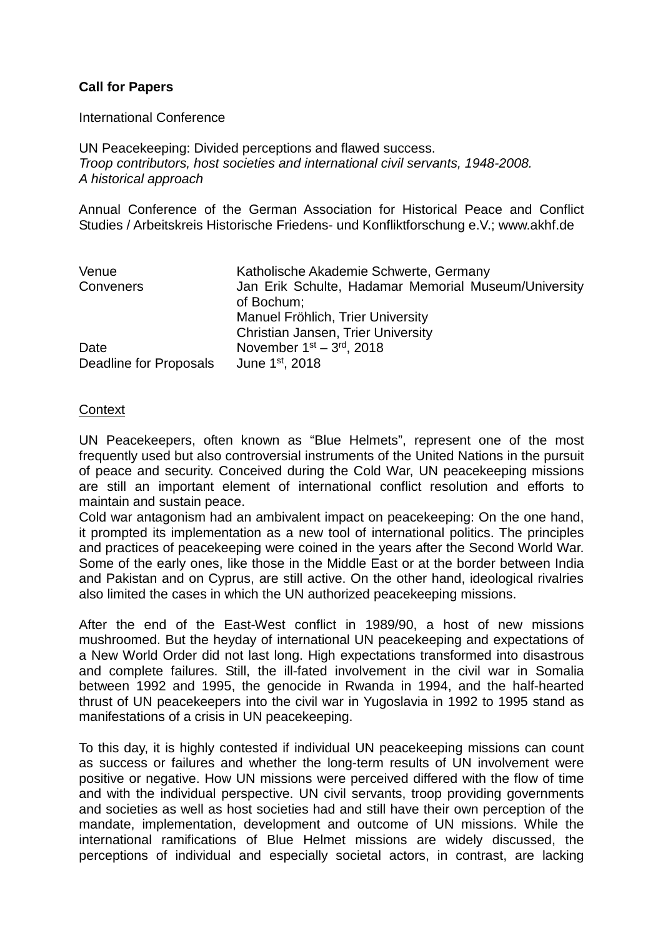## **Call for Papers**

International Conference

UN Peacekeeping: Divided perceptions and flawed success. *Troop contributors, host societies and international civil servants, 1948-2008. A historical approach*

Annual Conference of the German Association for Historical Peace and Conflict Studies / Arbeitskreis Historische Friedens- und Konfliktforschung e.V.; www.akhf.de

| Venue                  | Katholische Akademie Schwerte, Germany               |
|------------------------|------------------------------------------------------|
| Conveners              | Jan Erik Schulte, Hadamar Memorial Museum/University |
|                        | of Bochum;                                           |
|                        | Manuel Fröhlich, Trier University                    |
|                        | <b>Christian Jansen, Trier University</b>            |
| Date                   | November $1st - 3rd$ , 2018                          |
| Deadline for Proposals | June 1 <sup>st</sup> , 2018                          |

## **Context**

UN Peacekeepers, often known as "Blue Helmets", represent one of the most frequently used but also controversial instruments of the United Nations in the pursuit of peace and security. Conceived during the Cold War, UN peacekeeping missions are still an important element of international conflict resolution and efforts to maintain and sustain peace.

Cold war antagonism had an ambivalent impact on peacekeeping: On the one hand, it prompted its implementation as a new tool of international politics. The principles and practices of peacekeeping were coined in the years after the Second World War. Some of the early ones, like those in the Middle East or at the border between India and Pakistan and on Cyprus, are still active. On the other hand, ideological rivalries also limited the cases in which the UN authorized peacekeeping missions.

After the end of the East-West conflict in 1989/90, a host of new missions mushroomed. But the heyday of international UN peacekeeping and expectations of a New World Order did not last long. High expectations transformed into disastrous and complete failures. Still, the ill-fated involvement in the civil war in Somalia between 1992 and 1995, the genocide in Rwanda in 1994, and the half-hearted thrust of UN peacekeepers into the civil war in Yugoslavia in 1992 to 1995 stand as manifestations of a crisis in UN peacekeeping.

To this day, it is highly contested if individual UN peacekeeping missions can count as success or failures and whether the long-term results of UN involvement were positive or negative. How UN missions were perceived differed with the flow of time and with the individual perspective. UN civil servants, troop providing governments and societies as well as host societies had and still have their own perception of the mandate, implementation, development and outcome of UN missions. While the international ramifications of Blue Helmet missions are widely discussed, the perceptions of individual and especially societal actors, in contrast, are lacking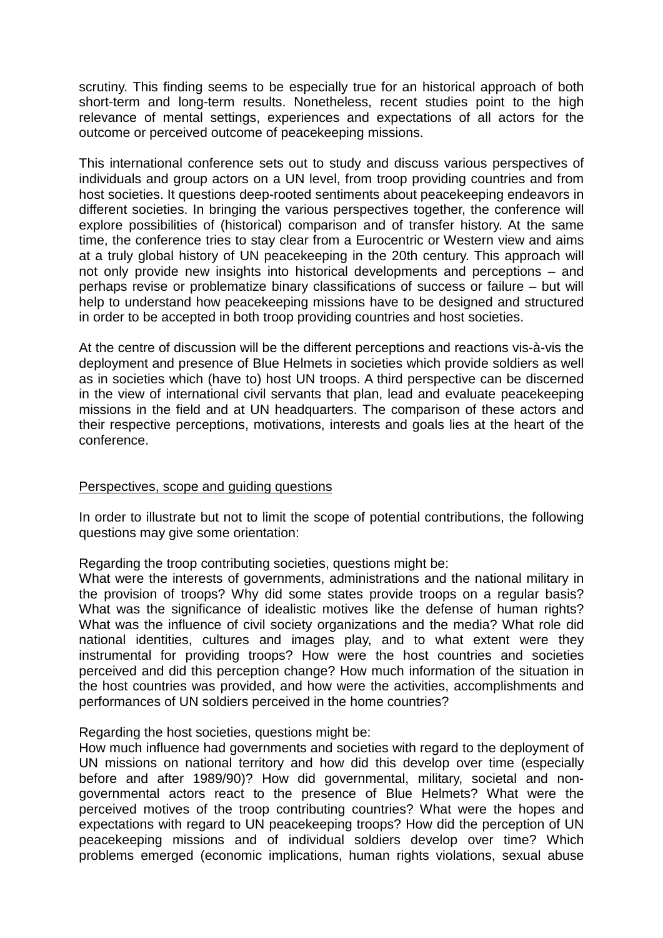scrutiny. This finding seems to be especially true for an historical approach of both short-term and long-term results. Nonetheless, recent studies point to the high relevance of mental settings, experiences and expectations of all actors for the outcome or perceived outcome of peacekeeping missions.

This international conference sets out to study and discuss various perspectives of individuals and group actors on a UN level, from troop providing countries and from host societies. It questions deep-rooted sentiments about peacekeeping endeavors in different societies. In bringing the various perspectives together, the conference will explore possibilities of (historical) comparison and of transfer history. At the same time, the conference tries to stay clear from a Eurocentric or Western view and aims at a truly global history of UN peacekeeping in the 20th century. This approach will not only provide new insights into historical developments and perceptions – and perhaps revise or problematize binary classifications of success or failure – but will help to understand how peacekeeping missions have to be designed and structured in order to be accepted in both troop providing countries and host societies.

At the centre of discussion will be the different perceptions and reactions vis-à-vis the deployment and presence of Blue Helmets in societies which provide soldiers as well as in societies which (have to) host UN troops. A third perspective can be discerned in the view of international civil servants that plan, lead and evaluate peacekeeping missions in the field and at UN headquarters. The comparison of these actors and their respective perceptions, motivations, interests and goals lies at the heart of the conference.

## Perspectives, scope and guiding questions

In order to illustrate but not to limit the scope of potential contributions, the following questions may give some orientation:

Regarding the troop contributing societies, questions might be:

What were the interests of governments, administrations and the national military in the provision of troops? Why did some states provide troops on a regular basis? What was the significance of idealistic motives like the defense of human rights? What was the influence of civil society organizations and the media? What role did national identities, cultures and images play, and to what extent were they instrumental for providing troops? How were the host countries and societies perceived and did this perception change? How much information of the situation in the host countries was provided, and how were the activities, accomplishments and performances of UN soldiers perceived in the home countries?

Regarding the host societies, questions might be:

How much influence had governments and societies with regard to the deployment of UN missions on national territory and how did this develop over time (especially before and after 1989/90)? How did governmental, military, societal and nongovernmental actors react to the presence of Blue Helmets? What were the perceived motives of the troop contributing countries? What were the hopes and expectations with regard to UN peacekeeping troops? How did the perception of UN peacekeeping missions and of individual soldiers develop over time? Which problems emerged (economic implications, human rights violations, sexual abuse